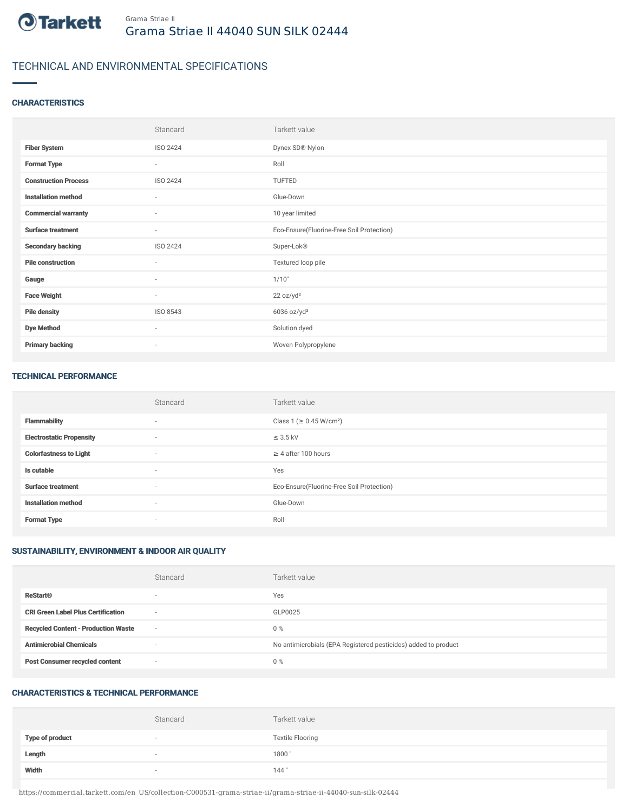

# TECHNICAL AND ENVIRONMENTAL SPECIFICATIONS

## **CHARACTERISTICS**

|                             | Standard                 | Tarkett value                             |
|-----------------------------|--------------------------|-------------------------------------------|
| <b>Fiber System</b>         | ISO 2424                 | Dynex SD® Nylon                           |
| <b>Format Type</b>          | $\sim$                   | Roll                                      |
| <b>Construction Process</b> | ISO 2424                 | TUFTED                                    |
| <b>Installation method</b>  | $\sim$                   | Glue-Down                                 |
| <b>Commercial warranty</b>  | $\sim$                   | 10 year limited                           |
| <b>Surface treatment</b>    | $\sim$                   | Eco-Ensure(Fluorine-Free Soil Protection) |
| <b>Secondary backing</b>    | ISO 2424                 | Super-Lok®                                |
| <b>Pile construction</b>    | $\sim$                   | Textured loop pile                        |
| Gauge                       | $\overline{\phantom{a}}$ | 1/10"                                     |
| <b>Face Weight</b>          | $\sim$                   | 22 oz/yd <sup>2</sup>                     |
| <b>Pile density</b>         | ISO 8543                 | $6036$ oz/yd <sup>3</sup>                 |
| <b>Dye Method</b>           | $\sim$                   | Solution dyed                             |
| <b>Primary backing</b>      | $\sim$                   | Woven Polypropylene                       |

#### TECHNICAL PERFORMANCE

|                                 | Standard                 | Tarkett value                             |
|---------------------------------|--------------------------|-------------------------------------------|
| <b>Flammability</b>             | $\sim$                   | Class 1 (≥ 0.45 W/cm <sup>2</sup> )       |
| <b>Electrostatic Propensity</b> | $\overline{\phantom{a}}$ | $\leq$ 3.5 kV                             |
| <b>Colorfastness to Light</b>   | $\sim$                   | $\geq$ 4 after 100 hours                  |
| Is cutable                      | $\sim$                   | Yes                                       |
| <b>Surface treatment</b>        | $\sim$                   | Eco-Ensure(Fluorine-Free Soil Protection) |
| <b>Installation method</b>      | $\sim$                   | Glue-Down                                 |
| <b>Format Type</b>              | $\sim$                   | Roll                                      |

## SUSTAINABILITY, ENVIRONMENT & INDOOR AIR QUALITY

|                                            | Standard                 | Tarkett value                                                  |
|--------------------------------------------|--------------------------|----------------------------------------------------------------|
| <b>ReStart®</b>                            | $\overline{\phantom{a}}$ | Yes                                                            |
| <b>CRI Green Label Plus Certification</b>  | $\overline{\phantom{a}}$ | GLP0025                                                        |
| <b>Recycled Content - Production Waste</b> | $\overline{\phantom{a}}$ | $0\%$                                                          |
| <b>Antimicrobial Chemicals</b>             | $\overline{\phantom{a}}$ | No antimicrobials (EPA Registered pesticides) added to product |
| <b>Post Consumer recycled content</b>      | $\overline{\phantom{a}}$ | $0\%$                                                          |

## CHARACTERISTICS & TECHNICAL PERFORMANCE

|                        | Standard                 | Tarkett value           |
|------------------------|--------------------------|-------------------------|
| <b>Type of product</b> | $\overline{\phantom{a}}$ | <b>Textile Flooring</b> |
| Length                 | $\overline{\phantom{a}}$ | 1800"                   |
| Width                  | $\overline{\phantom{a}}$ | 144"                    |

https://commercial.tarkett.com/en\_US/collection-C000531-grama-striae-ii/grama-striae-ii-44040-sun-silk-02444